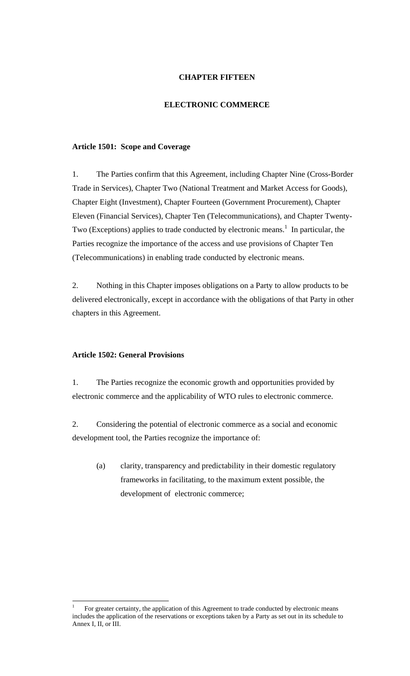# **CHAPTER FIFTEEN**

# **ELECTRONIC COMMERCE**

#### **Article 1501: Scope and Coverage**

1. The Parties confirm that this Agreement, including Chapter Nine (Cross-Border Trade in Services), Chapter Two (National Treatment and Market Access for Goods), Chapter Eight (Investment), Chapter Fourteen (Government Procurement), Chapter Eleven (Financial Services), Chapter Ten (Telecommunications), and Chapter Twenty-Two (Exceptions) applies to trade conducted by electronic means.<sup>1</sup> In particular, the Parties recognize the importance of the access and use provisions of Chapter Ten (Telecommunications) in enabling trade conducted by electronic means.

2. Nothing in this Chapter imposes obligations on a Party to allow products to be delivered electronically, except in accordance with the obligations of that Party in other chapters in this Agreement.

#### **Article 1502: General Provisions**

 $\overline{a}$ 

1. The Parties recognize the economic growth and opportunities provided by electronic commerce and the applicability of WTO rules to electronic commerce.

2. Considering the potential of electronic commerce as a social and economic development tool, the Parties recognize the importance of:

(a) clarity, transparency and predictability in their domestic regulatory frameworks in facilitating, to the maximum extent possible, the development of electronic commerce;

<sup>1</sup> For greater certainty, the application of this Agreement to trade conducted by electronic means includes the application of the reservations or exceptions taken by a Party as set out in its schedule to Annex I, II, or III.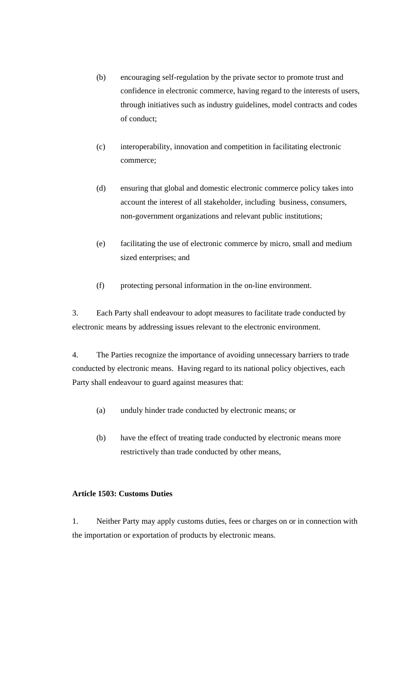- (b) encouraging self-regulation by the private sector to promote trust and confidence in electronic commerce, having regard to the interests of users, through initiatives such as industry guidelines, model contracts and codes of conduct;
- (c) interoperability, innovation and competition in facilitating electronic commerce;
- (d) ensuring that global and domestic electronic commerce policy takes into account the interest of all stakeholder, including business, consumers, non-government organizations and relevant public institutions;
- (e) facilitating the use of electronic commerce by micro, small and medium sized enterprises; and
- (f) protecting personal information in the on-line environment.

3. Each Party shall endeavour to adopt measures to facilitate trade conducted by electronic means by addressing issues relevant to the electronic environment.

4. The Parties recognize the importance of avoiding unnecessary barriers to trade conducted by electronic means. Having regard to its national policy objectives, each Party shall endeavour to guard against measures that:

- (a) unduly hinder trade conducted by electronic means; or
- (b) have the effect of treating trade conducted by electronic means more restrictively than trade conducted by other means,

# **Article 1503: Customs Duties**

1. Neither Party may apply customs duties, fees or charges on or in connection with the importation or exportation of products by electronic means.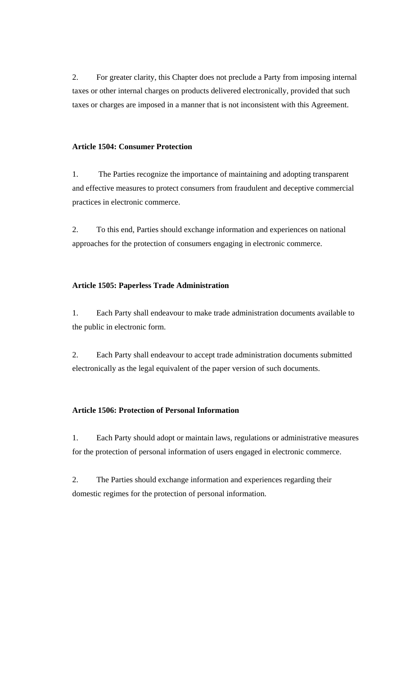2. For greater clarity, this Chapter does not preclude a Party from imposing internal taxes or other internal charges on products delivered electronically, provided that such taxes or charges are imposed in a manner that is not inconsistent with this Agreement.

# **Article 1504: Consumer Protection**

1. The Parties recognize the importance of maintaining and adopting transparent and effective measures to protect consumers from fraudulent and deceptive commercial practices in electronic commerce.

2. To this end, Parties should exchange information and experiences on national approaches for the protection of consumers engaging in electronic commerce.

# **Article 1505: Paperless Trade Administration**

1. Each Party shall endeavour to make trade administration documents available to the public in electronic form.

2. Each Party shall endeavour to accept trade administration documents submitted electronically as the legal equivalent of the paper version of such documents.

#### **Article 1506: Protection of Personal Information**

1. Each Party should adopt or maintain laws, regulations or administrative measures for the protection of personal information of users engaged in electronic commerce.

2. The Parties should exchange information and experiences regarding their domestic regimes for the protection of personal information.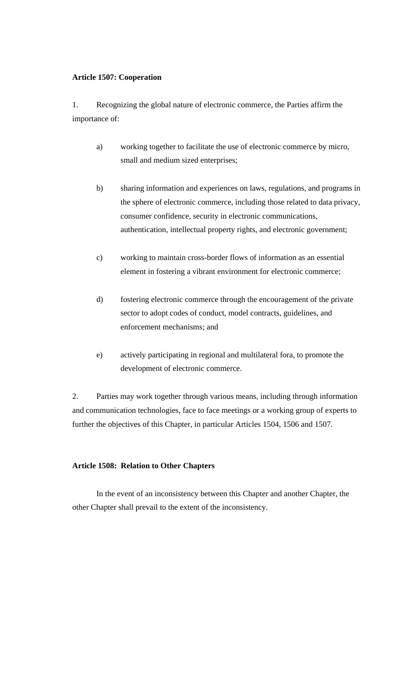#### **Article 1507: Cooperation**

1. Recognizing the global nature of electronic commerce, the Parties affirm the importance of:

- a) working together to facilitate the use of electronic commerce by micro, small and medium sized enterprises;
- b) sharing information and experiences on laws, regulations, and programs in the sphere of electronic commerce, including those related to data privacy, consumer confidence, security in electronic communications, authentication, intellectual property rights, and electronic government;
- c) working to maintain cross-border flows of information as an essential element in fostering a vibrant environment for electronic commerce;
- d) fostering electronic commerce through the encouragement of the private sector to adopt codes of conduct, model contracts, guidelines, and enforcement mechanisms; and
- e) actively participating in regional and multilateral fora, to promote the development of electronic commerce.

2. Parties may work together through various means, including through information and communication technologies, face to face meetings or a working group of experts to further the objectives of this Chapter, in particular Articles 1504, 1506 and 1507.

#### **Article 1508: Relation to Other Chapters**

In the event of an inconsistency between this Chapter and another Chapter, the other Chapter shall prevail to the extent of the inconsistency.